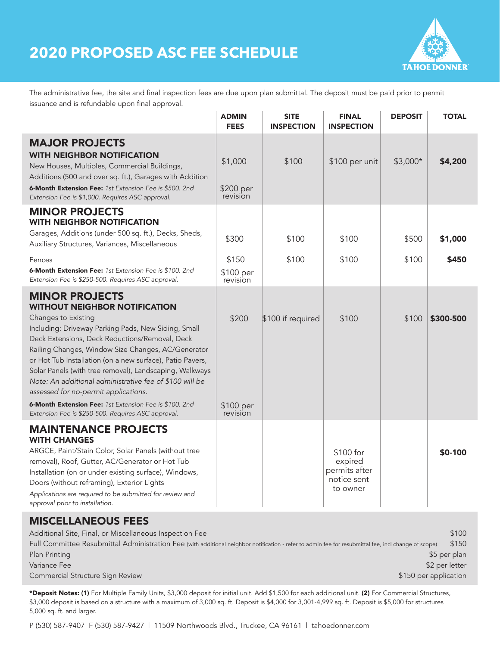# **2020 PROPOSED ASC FEE SCHEDULE**



The administrative fee, the site and final inspection fees are due upon plan submittal. The deposit must be paid prior to permit issuance and is refundable upon final approval.

|                                                                                                                                                                                                                                                                                                                                                                                                                                                                                                                                                                                                | <b>ADMIN</b><br><b>FEES</b>             | <b>SITE</b><br><b>INSPECTION</b> | <b>FINAL</b><br><b>INSPECTION</b>                                | <b>DEPOSIT</b> | <b>TOTAL</b>     |
|------------------------------------------------------------------------------------------------------------------------------------------------------------------------------------------------------------------------------------------------------------------------------------------------------------------------------------------------------------------------------------------------------------------------------------------------------------------------------------------------------------------------------------------------------------------------------------------------|-----------------------------------------|----------------------------------|------------------------------------------------------------------|----------------|------------------|
| <b>MAJOR PROJECTS</b><br><b>WITH NEIGHBOR NOTIFICATION</b><br>New Houses, Multiples, Commercial Buildings,<br>Additions (500 and over sq. ft.), Garages with Addition<br>6-Month Extension Fee: 1st Extension Fee is \$500, 2nd<br>Extension Fee is \$1,000. Requires ASC approval.                                                                                                                                                                                                                                                                                                            | \$1,000<br>\$200 per<br>revision        | \$100                            | \$100 per unit                                                   | $$3,000*$      | \$4,200          |
| <b>MINOR PROJECTS</b><br><b>WITH NEIGHBOR NOTIFICATION</b><br>Garages, Additions (under 500 sq. ft.), Decks, Sheds,<br>Auxiliary Structures, Variances, Miscellaneous<br>Fences<br><b>6-Month Extension Fee:</b> 1st Extension Fee is \$100. 2nd<br>Extension Fee is \$250-500. Requires ASC approval.                                                                                                                                                                                                                                                                                         | \$300<br>\$150<br>\$100 per<br>revision | \$100<br>\$100                   | \$100<br>\$100                                                   | \$500<br>\$100 | \$1,000<br>\$450 |
| <b>MINOR PROJECTS</b><br><b>WITHOUT NEIGHBOR NOTIFICATION</b><br>Changes to Existing<br>Including: Driveway Parking Pads, New Siding, Small<br>Deck Extensions, Deck Reductions/Removal, Deck<br>Railing Changes, Window Size Changes, AC/Generator<br>or Hot Tub Installation (on a new surface), Patio Pavers,<br>Solar Panels (with tree removal), Landscaping, Walkways<br>Note: An additional administrative fee of \$100 will be<br>assessed for no-permit applications.<br>6-Month Extension Fee: 1st Extension Fee is \$100. 2nd<br>Extension Fee is \$250-500. Requires ASC approval. | \$200<br>\$100 per<br>revision          | \$100 if required                | \$100                                                            | \$100          | \$300-500        |
| <b>MAINTENANCE PROJECTS</b><br><b>WITH CHANGES</b><br>ARGCE, Paint/Stain Color, Solar Panels (without tree<br>removal), Roof, Gutter, AC/Generator or Hot Tub<br>Installation (on or under existing surface), Windows,<br>Doors (without reframing), Exterior Lights<br>Applications are required to be submitted for review and<br>approval prior to installation.                                                                                                                                                                                                                            |                                         |                                  | \$100 for<br>expired<br>permits after<br>notice sent<br>to owner |                | \$0-100          |

### MISCELLANEOUS FEES

| Additional Site, Final, or Miscellaneous Inspection Fee                                                                                              | \$100           |
|------------------------------------------------------------------------------------------------------------------------------------------------------|-----------------|
| Full Committee Resubmittal Administration Fee (with additional neighbor notification - refer to admin fee for resubmittal fee, incl change of scope) | \$150           |
| Plan Printing                                                                                                                                        | \$5 per plan    |
| Variance Fee                                                                                                                                         | $$2$ per letter |
| \$150 per application<br>Commercial Structure Sign Review                                                                                            |                 |

\*Deposit Notes: (1) For Multiple Family Units, \$3,000 deposit for initial unit. Add \$1,500 for each additional unit. (2) For Commercial Structures, \$3,000 deposit is based on a structure with a maximum of 3,000 sq. ft. Deposit is \$4,000 for 3,001-4,999 sq. ft. Deposit is \$5,000 for structures 5,000 sq. ft. and larger.

P (530) 587-9407 F (530) 587-9427 | 11509 Northwoods Blvd., Truckee, CA 96161 | tahoedonner.com